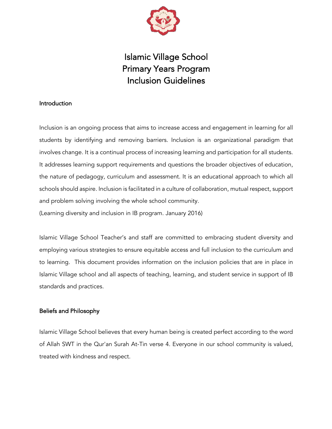

# Islamic Village School Primary Years Program Inclusion Guidelines

## Introduction

Inclusion is an ongoing process that aims to increase access and engagement in learning for all students by identifying and removing barriers. Inclusion is an organizational paradigm that involves change. It is a continual process of increasing learning and participation for all students. It addresses learning support requirements and questions the broader objectives of education, the nature of pedagogy, curriculum and assessment. It is an educational approach to which all schools should aspire. Inclusion is facilitated in a culture of collaboration, mutual respect, support and problem solving involving the whole school community. (Learning diversity and inclusion in IB program. January 2016)

Islamic Village School Teacher's and staff are committed to embracing student diversity and employing various strategies to ensure equitable access and full inclusion to the curriculum and to learning. This document provides information on the inclusion policies that are in place in Islamic Village school and all aspects of teaching, learning, and student service in support of IB standards and practices.

## Beliefs and Philosophy

Islamic Village School believes that every human being is created perfect according to the word of Allah SWT in the Qur'an Surah At-Tin verse 4. Everyone in our school community is valued, treated with kindness and respect.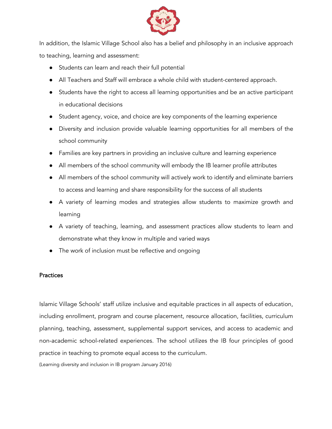

In addition, the Islamic Village School also has a belief and philosophy in an inclusive approach to teaching, learning and assessment:

- Students can learn and reach their full potential
- All Teachers and Staff will embrace a whole child with student-centered approach.
- Students have the right to access all learning opportunities and be an active participant in educational decisions
- Student agency, voice, and choice are key components of the learning experience
- Diversity and inclusion provide valuable learning opportunities for all members of the school community
- Families are key partners in providing an inclusive culture and learning experience
- All members of the school community will embody the IB learner profile attributes
- All members of the school community will actively work to identify and eliminate barriers to access and learning and share responsibility for the success of all students
- A variety of learning modes and strategies allow students to maximize growth and learning
- A variety of teaching, learning, and assessment practices allow students to learn and demonstrate what they know in multiple and varied ways
- The work of inclusion must be reflective and ongoing

### **Practices**

Islamic Village Schools' staff utilize inclusive and equitable practices in all aspects of education, including enrollment, program and course placement, resource allocation, facilities, curriculum planning, teaching, assessment, supplemental support services, and access to academic and non-academic school-related experiences. The school utilizes the IB four principles of good practice in teaching to promote equal access to the curriculum.

(Learning diversity and inclusion in IB program January 2016)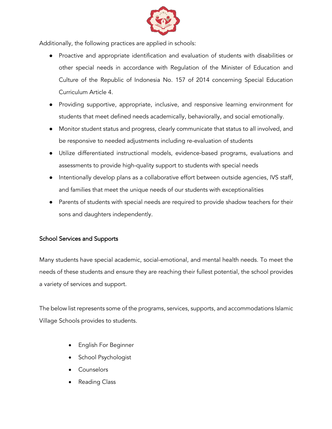

Additionally, the following practices are applied in schools:

- Proactive and appropriate identification and evaluation of students with disabilities or other special needs in accordance with Regulation of the Minister of Education and Culture of the Republic of Indonesia No. 157 of 2014 concerning Special Education Curriculum Article 4.
- Providing supportive, appropriate, inclusive, and responsive learning environment for students that meet defined needs academically, behaviorally, and social emotionally.
- Monitor student status and progress, clearly communicate that status to all involved, and be responsive to needed adjustments including re-evaluation of students
- Utilize differentiated instructional models, evidence-based programs, evaluations and assessments to provide high-quality support to students with special needs
- Intentionally develop plans as a collaborative effort between outside agencies, IVS staff, and families that meet the unique needs of our students with exceptionalities
- Parents of students with special needs are required to provide shadow teachers for their sons and daughters independently.

## School Services and Supports

Many students have special academic, social-emotional, and mental health needs. To meet the needs of these students and ensure they are reaching their fullest potential, the school provides a variety of services and support.

The below list represents some of the programs, services, supports, and accommodations Islamic Village Schools provides to students.

- English For Beginner
- School Psychologist
- **Counselors**
- Reading Class